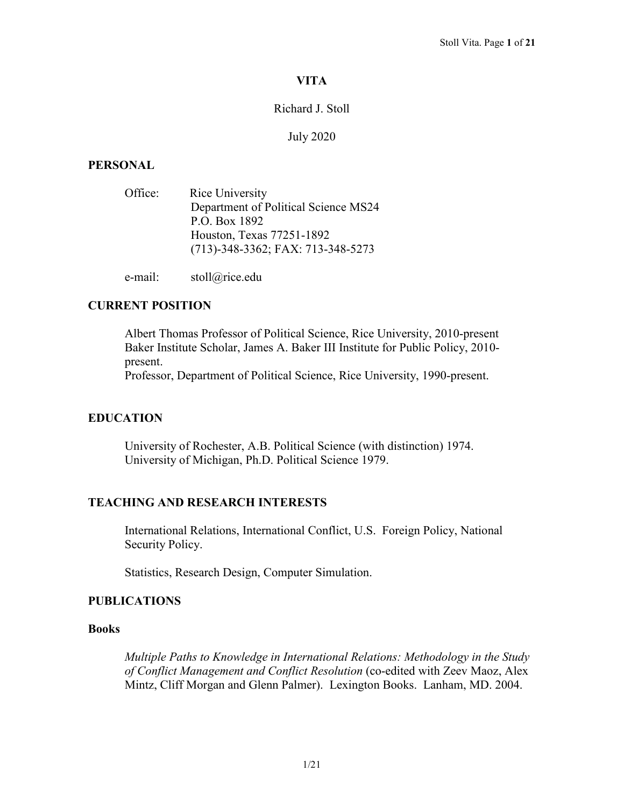# **VITA**

## Richard J. Stoll

### July 2020

## **PERSONAL**

| Office: | Rice University                      |
|---------|--------------------------------------|
|         | Department of Political Science MS24 |
|         | P.O. Box 1892                        |
|         | Houston, Texas 77251-1892            |
|         | (713)-348-3362; FAX: 713-348-5273    |
|         |                                      |

e-mail: stoll@rice.edu

# **CURRENT POSITION**

Albert Thomas Professor of Political Science, Rice University, 2010-present Baker Institute Scholar, James A. Baker III Institute for Public Policy, 2010 present.

Professor, Department of Political Science, Rice University, 1990-present.

# **EDUCATION**

University of Rochester, A.B. Political Science (with distinction) 1974. University of Michigan, Ph.D. Political Science 1979.

## **TEACHING AND RESEARCH INTERESTS**

International Relations, International Conflict, U.S. Foreign Policy, National Security Policy.

Statistics, Research Design, Computer Simulation.

## **PUBLICATIONS**

## **Books**

*Multiple Paths to Knowledge in International Relations: Methodology in the Study of Conflict Management and Conflict Resolution* (co-edited with Zeev Maoz, Alex Mintz, Cliff Morgan and Glenn Palmer). Lexington Books. Lanham, MD. 2004.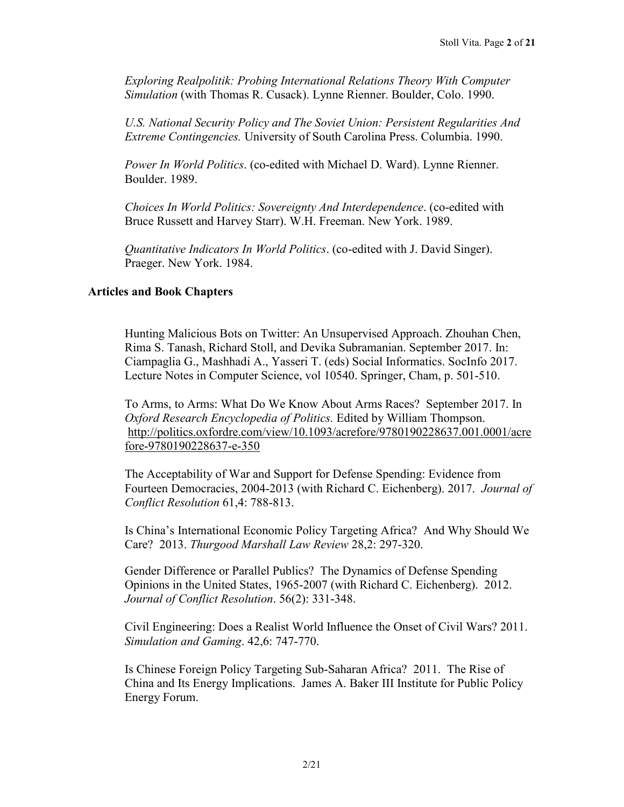*Exploring Realpolitik: Probing International Relations Theory With Computer Simulation* (with Thomas R. Cusack). Lynne Rienner. Boulder, Colo. 1990.

*U.S. National Security Policy and The Soviet Union: Persistent Regularities And Extreme Contingencies.* University of South Carolina Press. Columbia. 1990.

*Power In World Politics*. (co-edited with Michael D. Ward). Lynne Rienner. Boulder. 1989.

*Choices In World Politics: Sovereignty And Interdependence*. (co-edited with Bruce Russett and Harvey Starr). W.H. Freeman. New York. 1989.

*Quantitative Indicators In World Politics*. (co-edited with J. David Singer). Praeger. New York. 1984.

#### **Articles and Book Chapters**

Hunting Malicious Bots on Twitter: An Unsupervised Approach. Zhouhan Chen, Rima S. Tanash, Richard Stoll, and Devika Subramanian. September 2017. In: Ciampaglia G., Mashhadi A., Yasseri T. (eds) Social Informatics. SocInfo 2017. Lecture Notes in Computer Science, vol 10540. Springer, Cham, p. 501-510.

To Arms, to Arms: What Do We Know About Arms Races? September 2017. In *Oxford Research Encyclopedia of Politics.* Edited by William Thompson. [http://politics.oxfordre.com/view/10.1093/acrefore/9780190228637.001.0001/acre](http://politics.oxfordre.com/view/10.1093/acrefore/9780190228637.001.0001/acrefore-9780190228637-e-350) [fore-9780190228637-e-350](http://politics.oxfordre.com/view/10.1093/acrefore/9780190228637.001.0001/acrefore-9780190228637-e-350)

The Acceptability of War and Support for Defense Spending: Evidence from Fourteen Democracies, 2004-2013 (with Richard C. Eichenberg). 2017. *Journal of Conflict Resolution* 61,4: 788-813.

Is China's International Economic Policy Targeting Africa? And Why Should We Care? 2013. *Thurgood Marshall Law Review* 28,2: 297-320.

Gender Difference or Parallel Publics? The Dynamics of Defense Spending Opinions in the United States, 1965-2007 (with Richard C. Eichenberg). 2012. *Journal of Conflict Resolution*. 56(2): 331-348.

Civil Engineering: Does a Realist World Influence the Onset of Civil Wars? 2011. *Simulation and Gaming*. 42,6: 747-770.

Is Chinese Foreign Policy Targeting Sub-Saharan Africa? 2011. The Rise of China and Its Energy Implications. James A. Baker III Institute for Public Policy Energy Forum.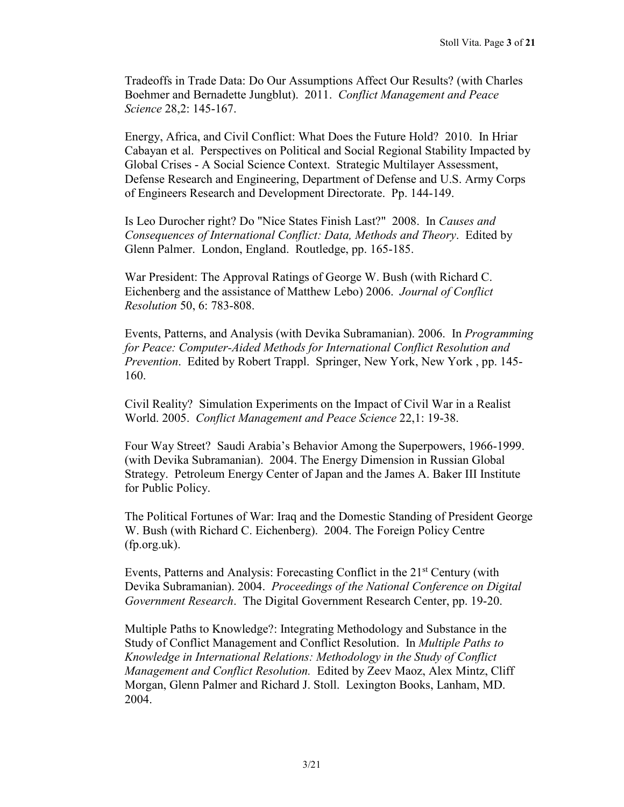Tradeoffs in Trade Data: Do Our Assumptions Affect Our Results? (with Charles Boehmer and Bernadette Jungblut). 2011. *Conflict Management and Peace Science* 28,2: 145-167.

Energy, Africa, and Civil Conflict: What Does the Future Hold? 2010. In Hriar Cabayan et al. Perspectives on Political and Social Regional Stability Impacted by Global Crises - A Social Science Context. Strategic Multilayer Assessment, Defense Research and Engineering, Department of Defense and U.S. Army Corps of Engineers Research and Development Directorate. Pp. 144-149.

Is Leo Durocher right? Do "Nice States Finish Last?" 2008. In *Causes and Consequences of International Conflict: Data, Methods and Theory*. Edited by Glenn Palmer. London, England. Routledge, pp. 165-185.

War President: The Approval Ratings of George W. Bush (with Richard C. Eichenberg and the assistance of Matthew Lebo) 2006. *Journal of Conflict Resolution* 50, 6: 783-808.

Events, Patterns, and Analysis (with Devika Subramanian). 2006. In *Programming for Peace: Computer-Aided Methods for International Conflict Resolution and Prevention*. Edited by Robert Trappl. Springer, New York, New York , pp. 145- 160.

Civil Reality? Simulation Experiments on the Impact of Civil War in a Realist World. 2005. *Conflict Management and Peace Science* 22,1: 19-38.

Four Way Street? Saudi Arabia's Behavior Among the Superpowers, 1966-1999. (with Devika Subramanian). 2004. The Energy Dimension in Russian Global Strategy. Petroleum Energy Center of Japan and the James A. Baker III Institute for Public Policy.

The Political Fortunes of War: Iraq and the Domestic Standing of President George W. Bush (with Richard C. Eichenberg). 2004. The Foreign Policy Centre (fp.org.uk).

Events, Patterns and Analysis: Forecasting Conflict in the 21<sup>st</sup> Century (with Devika Subramanian). 2004. *Proceedings of the National Conference on Digital Government Research*. The Digital Government Research Center, pp. 19-20.

Multiple Paths to Knowledge?: Integrating Methodology and Substance in the Study of Conflict Management and Conflict Resolution. In *Multiple Paths to Knowledge in International Relations: Methodology in the Study of Conflict Management and Conflict Resolution.* Edited by Zeev Maoz, Alex Mintz, Cliff Morgan, Glenn Palmer and Richard J. Stoll. Lexington Books, Lanham, MD. 2004.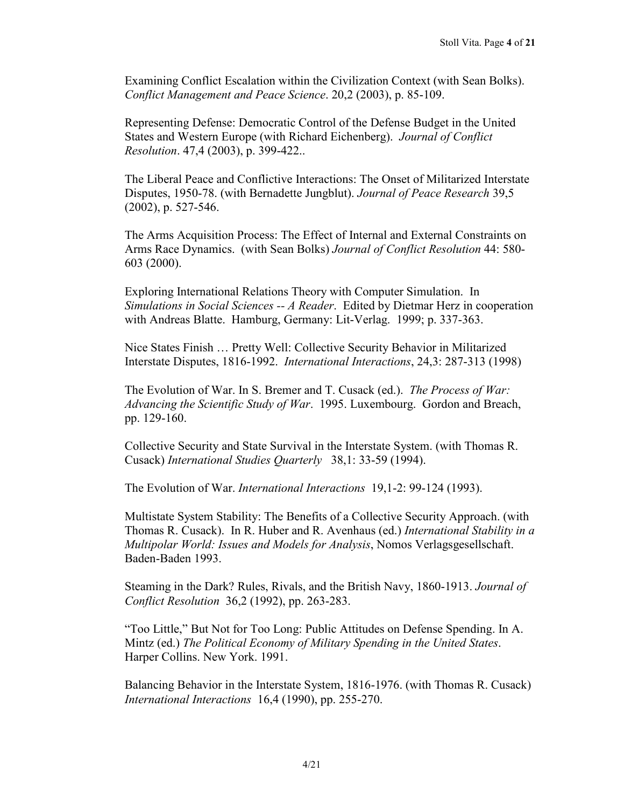Examining Conflict Escalation within the Civilization Context (with Sean Bolks). *Conflict Management and Peace Science*. 20,2 (2003), p. 85-109.

Representing Defense: Democratic Control of the Defense Budget in the United States and Western Europe (with Richard Eichenberg). *Journal of Conflict Resolution*. 47,4 (2003), p. 399-422..

The Liberal Peace and Conflictive Interactions: The Onset of Militarized Interstate Disputes, 1950-78. (with Bernadette Jungblut). *Journal of Peace Research* 39,5 (2002), p. 527-546.

The Arms Acquisition Process: The Effect of Internal and External Constraints on Arms Race Dynamics. (with Sean Bolks) *Journal of Conflict Resolution* 44: 580- 603 (2000).

Exploring International Relations Theory with Computer Simulation. In *Simulations in Social Sciences -- A Reader*. Edited by Dietmar Herz in cooperation with Andreas Blatte. Hamburg, Germany: Lit-Verlag. 1999; p. 337-363.

Nice States Finish … Pretty Well: Collective Security Behavior in Militarized Interstate Disputes, 1816-1992. *International Interactions*, 24,3: 287-313 (1998)

The Evolution of War. In S. Bremer and T. Cusack (ed.). *The Process of War: Advancing the Scientific Study of War*. 1995. Luxembourg. Gordon and Breach, pp. 129-160.

Collective Security and State Survival in the Interstate System. (with Thomas R. Cusack) *International Studies Quarterly* 38,1: 33-59 (1994).

The Evolution of War. *International Interactions* 19,1-2: 99-124 (1993).

Multistate System Stability: The Benefits of a Collective Security Approach. (with Thomas R. Cusack). In R. Huber and R. Avenhaus (ed.) *International Stability in a Multipolar World: Issues and Models for Analysis*, Nomos Verlagsgesellschaft. Baden-Baden 1993.

Steaming in the Dark? Rules, Rivals, and the British Navy, 1860-1913. *Journal of Conflict Resolution* 36,2 (1992), pp. 263-283.

"Too Little," But Not for Too Long: Public Attitudes on Defense Spending. In A. Mintz (ed.) *The Political Economy of Military Spending in the United States*. Harper Collins. New York. 1991.

Balancing Behavior in the Interstate System, 1816-1976. (with Thomas R. Cusack) *International Interactions* 16,4 (1990), pp. 255-270.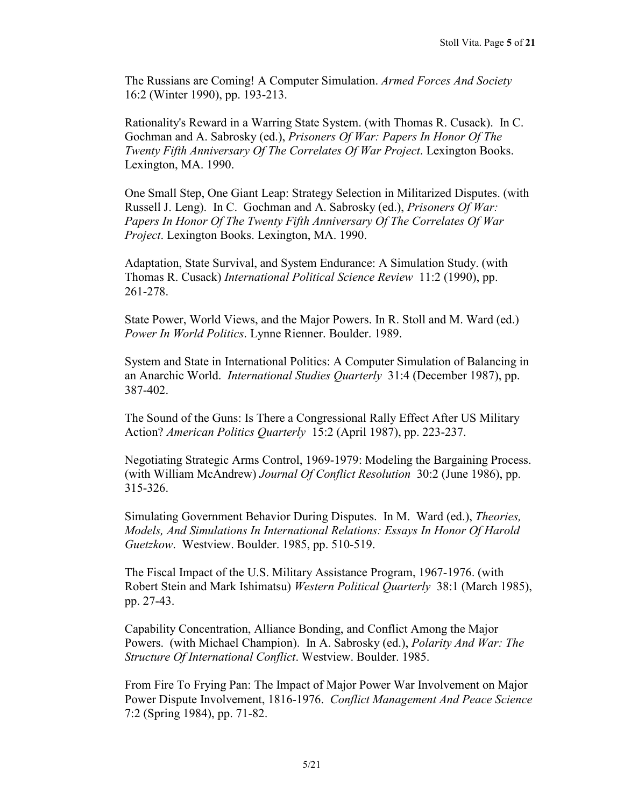The Russians are Coming! A Computer Simulation. *Armed Forces And Society* 16:2 (Winter 1990), pp. 193-213.

Rationality's Reward in a Warring State System. (with Thomas R. Cusack). In C. Gochman and A. Sabrosky (ed.), *Prisoners Of War: Papers In Honor Of The Twenty Fifth Anniversary Of The Correlates Of War Project*. Lexington Books. Lexington, MA. 1990.

One Small Step, One Giant Leap: Strategy Selection in Militarized Disputes. (with Russell J. Leng). In C. Gochman and A. Sabrosky (ed.), *Prisoners Of War: Papers In Honor Of The Twenty Fifth Anniversary Of The Correlates Of War Project*. Lexington Books. Lexington, MA. 1990.

Adaptation, State Survival, and System Endurance: A Simulation Study. (with Thomas R. Cusack) *International Political Science Review* 11:2 (1990), pp. 261-278.

State Power, World Views, and the Major Powers. In R. Stoll and M. Ward (ed.) *Power In World Politics*. Lynne Rienner. Boulder. 1989.

System and State in International Politics: A Computer Simulation of Balancing in an Anarchic World. *International Studies Quarterly* 31:4 (December 1987), pp. 387-402.

The Sound of the Guns: Is There a Congressional Rally Effect After US Military Action? *American Politics Quarterly* 15:2 (April 1987), pp. 223-237.

Negotiating Strategic Arms Control, 1969-1979: Modeling the Bargaining Process. (with William McAndrew) *Journal Of Conflict Resolution* 30:2 (June 1986), pp. 315-326.

Simulating Government Behavior During Disputes. In M. Ward (ed.), *Theories, Models, And Simulations In International Relations: Essays In Honor Of Harold Guetzkow*. Westview. Boulder. 1985, pp. 510-519.

The Fiscal Impact of the U.S. Military Assistance Program, 1967-1976. (with Robert Stein and Mark Ishimatsu) *Western Political Quarterly* 38:1 (March 1985), pp. 27-43.

Capability Concentration, Alliance Bonding, and Conflict Among the Major Powers. (with Michael Champion). In A. Sabrosky (ed.), *Polarity And War: The Structure Of International Conflict*. Westview. Boulder. 1985.

From Fire To Frying Pan: The Impact of Major Power War Involvement on Major Power Dispute Involvement, 1816-1976. *Conflict Management And Peace Science* 7:2 (Spring 1984), pp. 71-82.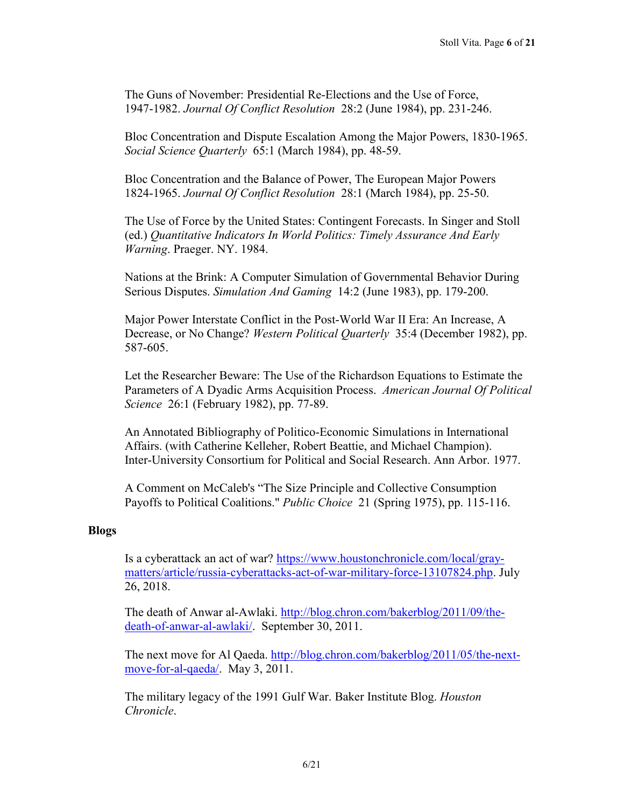The Guns of November: Presidential Re-Elections and the Use of Force, 1947-1982. *Journal Of Conflict Resolution* 28:2 (June 1984), pp. 231-246.

Bloc Concentration and Dispute Escalation Among the Major Powers, 1830-1965. *Social Science Quarterly* 65:1 (March 1984), pp. 48-59.

Bloc Concentration and the Balance of Power, The European Major Powers 1824-1965. *Journal Of Conflict Resolution* 28:1 (March 1984), pp. 25-50.

The Use of Force by the United States: Contingent Forecasts. In Singer and Stoll (ed.) *Quantitative Indicators In World Politics: Timely Assurance And Early Warning*. Praeger. NY. 1984.

Nations at the Brink: A Computer Simulation of Governmental Behavior During Serious Disputes. *Simulation And Gaming* 14:2 (June 1983), pp. 179-200.

Major Power Interstate Conflict in the Post-World War II Era: An Increase, A Decrease, or No Change? *Western Political Quarterly* 35:4 (December 1982), pp. 587-605.

Let the Researcher Beware: The Use of the Richardson Equations to Estimate the Parameters of A Dyadic Arms Acquisition Process. *American Journal Of Political Science* 26:1 (February 1982), pp. 77-89.

An Annotated Bibliography of Politico-Economic Simulations in International Affairs. (with Catherine Kelleher, Robert Beattie, and Michael Champion). Inter-University Consortium for Political and Social Research. Ann Arbor. 1977.

A Comment on McCaleb's "The Size Principle and Collective Consumption Payoffs to Political Coalitions." *Public Choice* 21 (Spring 1975), pp. 115-116.

## **Blogs**

Is a cyberattack an act of war? [https://www.houstonchronicle.com/local/gray](https://www.houstonchronicle.com/local/gray-matters/article/russia-cyberattacks-act-of-war-military-force-13107824.php)[matters/article/russia-cyberattacks-act-of-war-military-force-13107824.php.](https://www.houstonchronicle.com/local/gray-matters/article/russia-cyberattacks-act-of-war-military-force-13107824.php) July 26, 2018.

The death of Anwar al-Awlaki. [http://blog.chron.com/bakerblog/2011/09/the](http://blog.chron.com/bakerblog/2011/09/the-death-of-anwar-al-awlaki/)[death-of-anwar-al-awlaki/.](http://blog.chron.com/bakerblog/2011/09/the-death-of-anwar-al-awlaki/) September 30, 2011.

The next move for Al Qaeda. [http://blog.chron.com/bakerblog/2011/05/the-next](http://blog.chron.com/bakerblog/2011/05/the-next-move-for-al-qaeda/)[move-for-al-qaeda/.](http://blog.chron.com/bakerblog/2011/05/the-next-move-for-al-qaeda/) May 3, 2011.

The military legacy of the 1991 Gulf War. Baker Institute Blog. *Houston Chronicle*.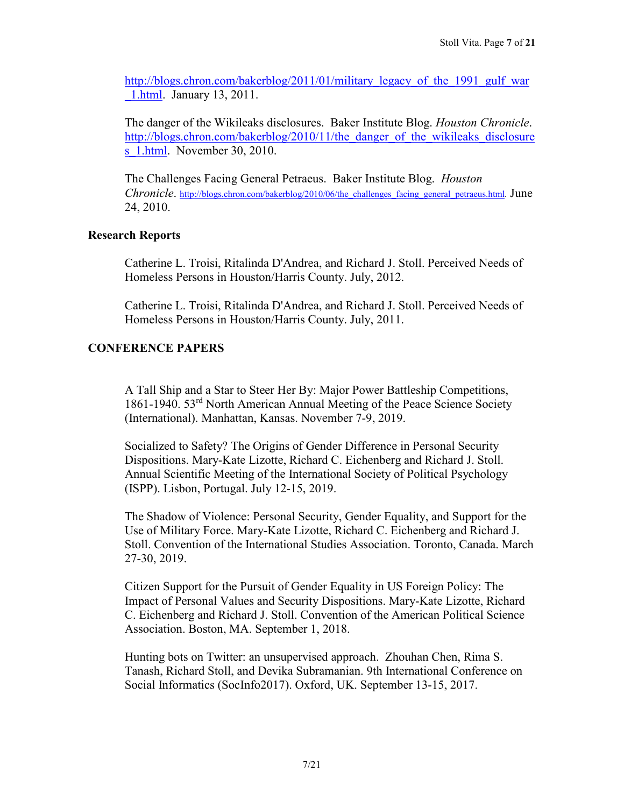[http://blogs.chron.com/bakerblog/2011/01/military\\_legacy\\_of\\_the\\_1991\\_gulf\\_war](http://blogs.chron.com/bakerblog/2011/01/military_legacy_of_the_1991_gulf_war_1.html) [\\_1.html.](http://blogs.chron.com/bakerblog/2011/01/military_legacy_of_the_1991_gulf_war_1.html) January 13, 2011.

The danger of the Wikileaks disclosures. Baker Institute Blog. *Houston Chronicle*. [http://blogs.chron.com/bakerblog/2010/11/the\\_danger\\_of\\_the\\_wikileaks\\_disclosure](http://blogs.chron.com/bakerblog/2010/11/the_danger_of_the_wikileaks_disclosures_1.html) s 1.html. November 30, 2010.

The Challenges Facing General Petraeus. Baker Institute Blog. *Houston Chronicle*. http://blogs.chron.com/bakerblog/2010/06/the challenges facing general petraeus.html. June 24, 2010.

## **Research Reports**

Catherine L. Troisi, Ritalinda D'Andrea, and Richard J. Stoll. Perceived Needs of Homeless Persons in Houston/Harris County. July, 2012.

Catherine L. Troisi, Ritalinda D'Andrea, and Richard J. Stoll. Perceived Needs of Homeless Persons in Houston/Harris County. July, 2011.

# **CONFERENCE PAPERS**

A Tall Ship and a Star to Steer Her By: Major Power Battleship Competitions, 1861-1940. 53rd North American Annual Meeting of the Peace Science Society (International). Manhattan, Kansas. November 7-9, 2019.

Socialized to Safety? The Origins of Gender Difference in Personal Security Dispositions. Mary-Kate Lizotte, Richard C. Eichenberg and Richard J. Stoll. Annual Scientific Meeting of the International Society of Political Psychology (ISPP). Lisbon, Portugal. July 12-15, 2019.

The Shadow of Violence: Personal Security, Gender Equality, and Support for the Use of Military Force. Mary-Kate Lizotte, Richard C. Eichenberg and Richard J. Stoll. Convention of the International Studies Association. Toronto, Canada. March 27-30, 2019.

Citizen Support for the Pursuit of Gender Equality in US Foreign Policy: The Impact of Personal Values and Security Dispositions. Mary-Kate Lizotte, Richard C. Eichenberg and Richard J. Stoll. Convention of the American Political Science Association. Boston, MA. September 1, 2018.

Hunting bots on Twitter: an unsupervised approach. Zhouhan Chen, Rima S. Tanash, Richard Stoll, and Devika Subramanian. 9th International Conference on Social Informatics (SocInfo2017). Oxford, UK. September 13-15, 2017.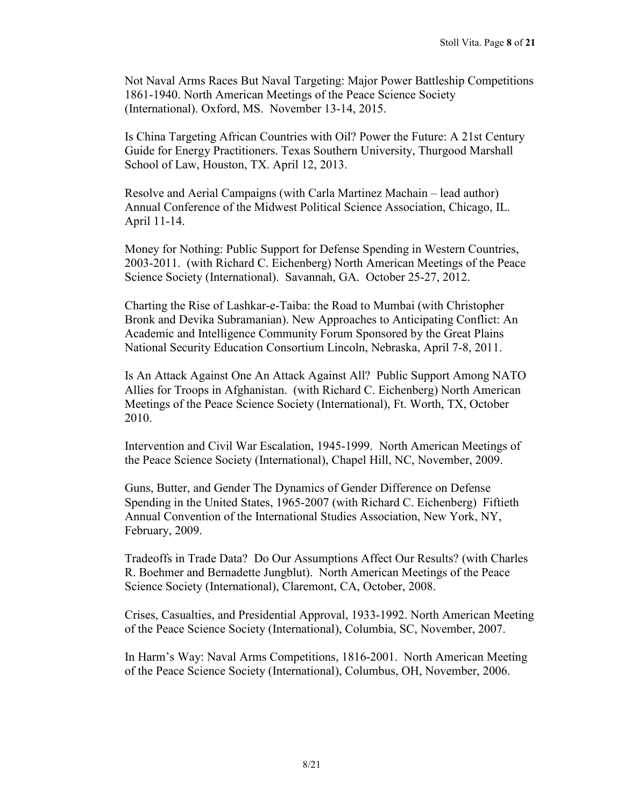Not Naval Arms Races But Naval Targeting: Major Power Battleship Competitions 1861-1940. North American Meetings of the Peace Science Society (International). Oxford, MS. November 13-14, 2015.

Is China Targeting African Countries with Oil? Power the Future: A 21st Century Guide for Energy Practitioners. Texas Southern University, Thurgood Marshall School of Law, Houston, TX. April 12, 2013.

Resolve and Aerial Campaigns (with Carla Martinez Machain – lead author) Annual Conference of the Midwest Political Science Association, Chicago, IL. April 11-14.

Money for Nothing: Public Support for Defense Spending in Western Countries, 2003-2011. (with Richard C. Eichenberg) North American Meetings of the Peace Science Society (International). Savannah, GA. October 25-27, 2012.

Charting the Rise of Lashkar-e-Taiba: the Road to Mumbai (with Christopher Bronk and Devika Subramanian). New Approaches to Anticipating Conflict: An Academic and Intelligence Community Forum Sponsored by the Great Plains National Security Education Consortium Lincoln, Nebraska, April 7-8, 2011.

Is An Attack Against One An Attack Against All? Public Support Among NATO Allies for Troops in Afghanistan. (with Richard C. Eichenberg) North American Meetings of the Peace Science Society (International), Ft. Worth, TX, October 2010.

Intervention and Civil War Escalation, 1945-1999. North American Meetings of the Peace Science Society (International), Chapel Hill, NC, November, 2009.

Guns, Butter, and Gender The Dynamics of Gender Difference on Defense Spending in the United States, 1965-2007 (with Richard C. Eichenberg) Fiftieth Annual Convention of the International Studies Association, New York, NY, February, 2009.

Tradeoffs in Trade Data? Do Our Assumptions Affect Our Results? (with Charles R. Boehmer and Bernadette Jungblut). North American Meetings of the Peace Science Society (International), Claremont, CA, October, 2008.

Crises, Casualties, and Presidential Approval, 1933-1992. North American Meeting of the Peace Science Society (International), Columbia, SC, November, 2007.

In Harm's Way: Naval Arms Competitions, 1816-2001. North American Meeting of the Peace Science Society (International), Columbus, OH, November, 2006.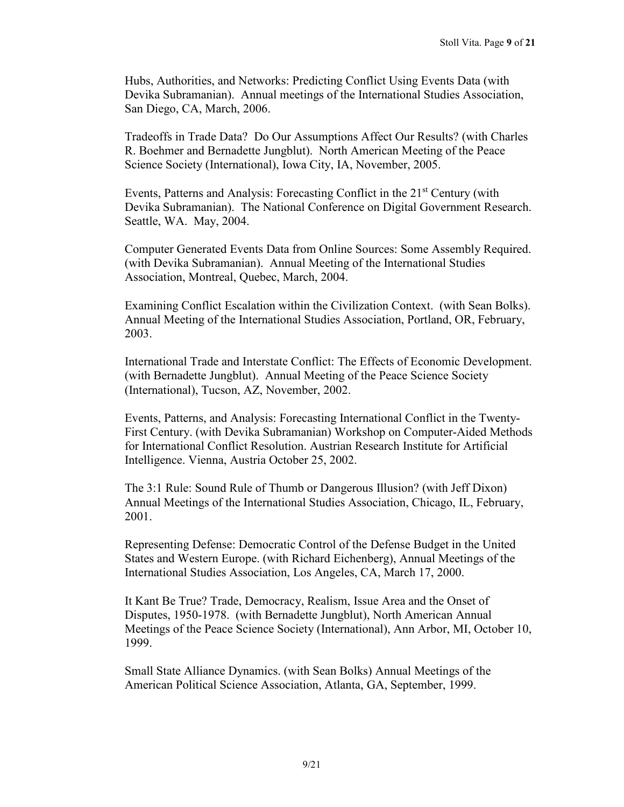Hubs, Authorities, and Networks: Predicting Conflict Using Events Data (with Devika Subramanian). Annual meetings of the International Studies Association, San Diego, CA, March, 2006.

Tradeoffs in Trade Data? Do Our Assumptions Affect Our Results? (with Charles R. Boehmer and Bernadette Jungblut). North American Meeting of the Peace Science Society (International), Iowa City, IA, November, 2005.

Events, Patterns and Analysis: Forecasting Conflict in the 21<sup>st</sup> Century (with Devika Subramanian). The National Conference on Digital Government Research. Seattle, WA. May, 2004.

Computer Generated Events Data from Online Sources: Some Assembly Required. (with Devika Subramanian). Annual Meeting of the International Studies Association, Montreal, Quebec, March, 2004.

Examining Conflict Escalation within the Civilization Context. (with Sean Bolks). Annual Meeting of the International Studies Association, Portland, OR, February, 2003.

International Trade and Interstate Conflict: The Effects of Economic Development. (with Bernadette Jungblut). Annual Meeting of the Peace Science Society (International), Tucson, AZ, November, 2002.

Events, Patterns, and Analysis: Forecasting International Conflict in the Twenty-First Century. (with Devika Subramanian) Workshop on Computer-Aided Methods for International Conflict Resolution. Austrian Research Institute for Artificial Intelligence. Vienna, Austria October 25, 2002.

The 3:1 Rule: Sound Rule of Thumb or Dangerous Illusion? (with Jeff Dixon) Annual Meetings of the International Studies Association, Chicago, IL, February, 2001.

Representing Defense: Democratic Control of the Defense Budget in the United States and Western Europe. (with Richard Eichenberg), Annual Meetings of the International Studies Association, Los Angeles, CA, March 17, 2000.

It Kant Be True? Trade, Democracy, Realism, Issue Area and the Onset of Disputes, 1950-1978. (with Bernadette Jungblut), North American Annual Meetings of the Peace Science Society (International), Ann Arbor, MI, October 10, 1999.

Small State Alliance Dynamics. (with Sean Bolks) Annual Meetings of the American Political Science Association, Atlanta, GA, September, 1999.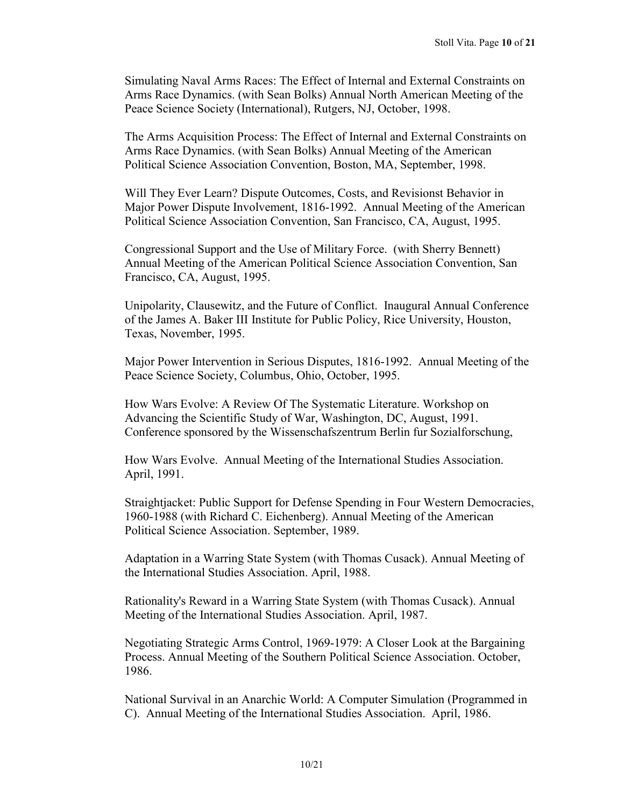Simulating Naval Arms Races: The Effect of Internal and External Constraints on Arms Race Dynamics. (with Sean Bolks) Annual North American Meeting of the Peace Science Society (International), Rutgers, NJ, October, 1998.

The Arms Acquisition Process: The Effect of Internal and External Constraints on Arms Race Dynamics. (with Sean Bolks) Annual Meeting of the American Political Science Association Convention, Boston, MA, September, 1998.

Will They Ever Learn? Dispute Outcomes, Costs, and Revisionst Behavior in Major Power Dispute Involvement, 1816-1992. Annual Meeting of the American Political Science Association Convention, San Francisco, CA, August, 1995.

Congressional Support and the Use of Military Force. (with Sherry Bennett) Annual Meeting of the American Political Science Association Convention, San Francisco, CA, August, 1995.

Unipolarity, Clausewitz, and the Future of Conflict. Inaugural Annual Conference of the James A. Baker III Institute for Public Policy, Rice University, Houston, Texas, November, 1995.

Major Power Intervention in Serious Disputes, 1816-1992. Annual Meeting of the Peace Science Society, Columbus, Ohio, October, 1995.

How Wars Evolve: A Review Of The Systematic Literature. Workshop on Advancing the Scientific Study of War, Washington, DC, August, 1991. Conference sponsored by the Wissenschafszentrum Berlin fur Sozialforschung,

How Wars Evolve. Annual Meeting of the International Studies Association. April, 1991.

Straightjacket: Public Support for Defense Spending in Four Western Democracies, 1960-1988 (with Richard C. Eichenberg). Annual Meeting of the American Political Science Association. September, 1989.

Adaptation in a Warring State System (with Thomas Cusack). Annual Meeting of the International Studies Association. April, 1988.

Rationality's Reward in a Warring State System (with Thomas Cusack). Annual Meeting of the International Studies Association. April, 1987.

Negotiating Strategic Arms Control, 1969-1979: A Closer Look at the Bargaining Process. Annual Meeting of the Southern Political Science Association. October, 1986.

National Survival in an Anarchic World: A Computer Simulation (Programmed in C). Annual Meeting of the International Studies Association. April, 1986.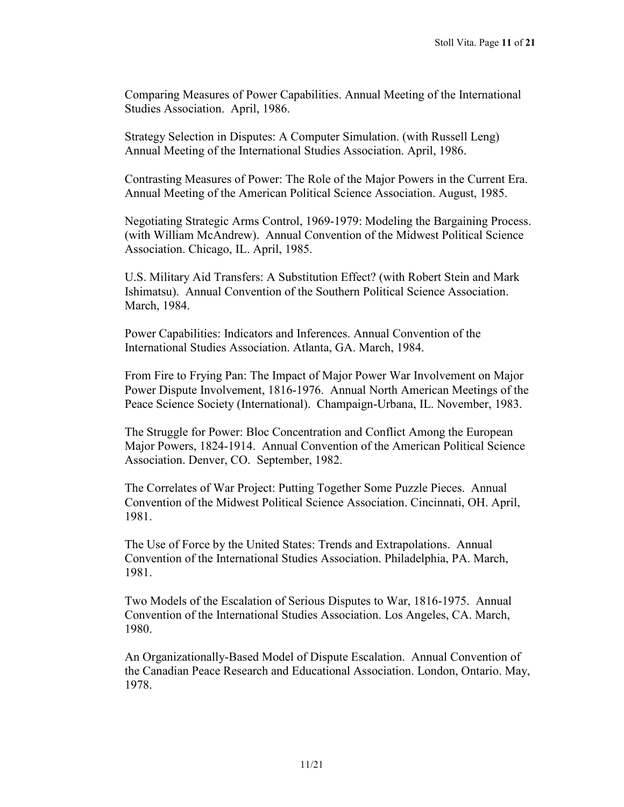Comparing Measures of Power Capabilities. Annual Meeting of the International Studies Association. April, 1986.

Strategy Selection in Disputes: A Computer Simulation. (with Russell Leng) Annual Meeting of the International Studies Association. April, 1986.

Contrasting Measures of Power: The Role of the Major Powers in the Current Era. Annual Meeting of the American Political Science Association. August, 1985.

Negotiating Strategic Arms Control, 1969-1979: Modeling the Bargaining Process. (with William McAndrew). Annual Convention of the Midwest Political Science Association. Chicago, IL. April, 1985.

U.S. Military Aid Transfers: A Substitution Effect? (with Robert Stein and Mark Ishimatsu). Annual Convention of the Southern Political Science Association. March, 1984.

Power Capabilities: Indicators and Inferences. Annual Convention of the International Studies Association. Atlanta, GA. March, 1984.

From Fire to Frying Pan: The Impact of Major Power War Involvement on Major Power Dispute Involvement, 1816-1976. Annual North American Meetings of the Peace Science Society (International). Champaign-Urbana, IL. November, 1983.

The Struggle for Power: Bloc Concentration and Conflict Among the European Major Powers, 1824-1914. Annual Convention of the American Political Science Association. Denver, CO. September, 1982.

The Correlates of War Project: Putting Together Some Puzzle Pieces. Annual Convention of the Midwest Political Science Association. Cincinnati, OH. April, 1981.

The Use of Force by the United States: Trends and Extrapolations. Annual Convention of the International Studies Association. Philadelphia, PA. March, 1981.

Two Models of the Escalation of Serious Disputes to War, 1816-1975. Annual Convention of the International Studies Association. Los Angeles, CA. March, 1980.

An Organizationally-Based Model of Dispute Escalation. Annual Convention of the Canadian Peace Research and Educational Association. London, Ontario. May, 1978.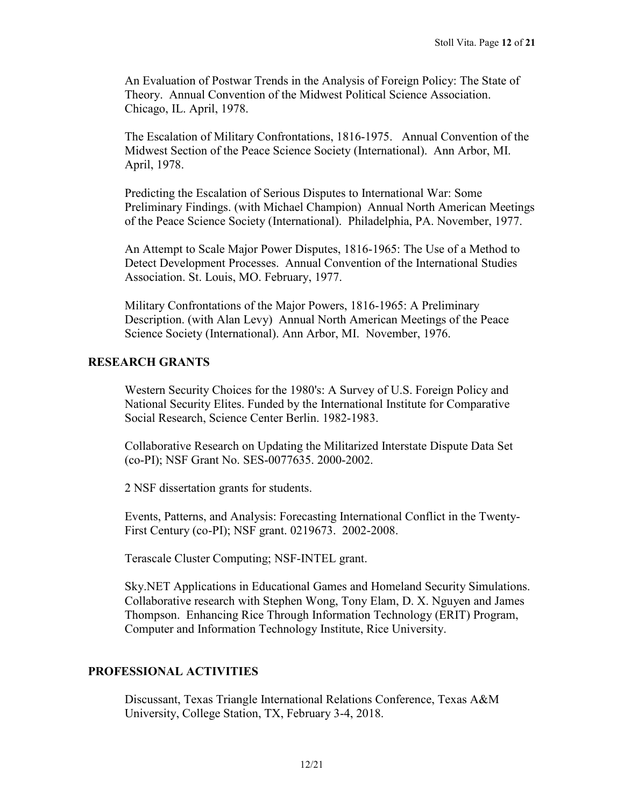An Evaluation of Postwar Trends in the Analysis of Foreign Policy: The State of Theory. Annual Convention of the Midwest Political Science Association. Chicago, IL. April, 1978.

The Escalation of Military Confrontations, 1816-1975. Annual Convention of the Midwest Section of the Peace Science Society (International). Ann Arbor, MI. April, 1978.

Predicting the Escalation of Serious Disputes to International War: Some Preliminary Findings. (with Michael Champion) Annual North American Meetings of the Peace Science Society (International). Philadelphia, PA. November, 1977.

An Attempt to Scale Major Power Disputes, 1816-1965: The Use of a Method to Detect Development Processes. Annual Convention of the International Studies Association. St. Louis, MO. February, 1977.

Military Confrontations of the Major Powers, 1816-1965: A Preliminary Description. (with Alan Levy) Annual North American Meetings of the Peace Science Society (International). Ann Arbor, MI. November, 1976.

#### **RESEARCH GRANTS**

Western Security Choices for the 1980's: A Survey of U.S. Foreign Policy and National Security Elites. Funded by the International Institute for Comparative Social Research, Science Center Berlin. 1982-1983.

Collaborative Research on Updating the Militarized Interstate Dispute Data Set (co-PI); NSF Grant No. SES-0077635. 2000-2002.

2 NSF dissertation grants for students.

Events, Patterns, and Analysis: Forecasting International Conflict in the Twenty-First Century (co-PI); NSF grant. 0219673. 2002-2008.

Terascale Cluster Computing; NSF-INTEL grant.

Sky.NET Applications in Educational Games and Homeland Security Simulations. Collaborative research with Stephen Wong, Tony Elam, D. X. Nguyen and James Thompson. Enhancing Rice Through Information Technology (ERIT) Program, Computer and Information Technology Institute, Rice University.

#### **PROFESSIONAL ACTIVITIES**

Discussant, Texas Triangle International Relations Conference, Texas A&M University, College Station, TX, February 3-4, 2018.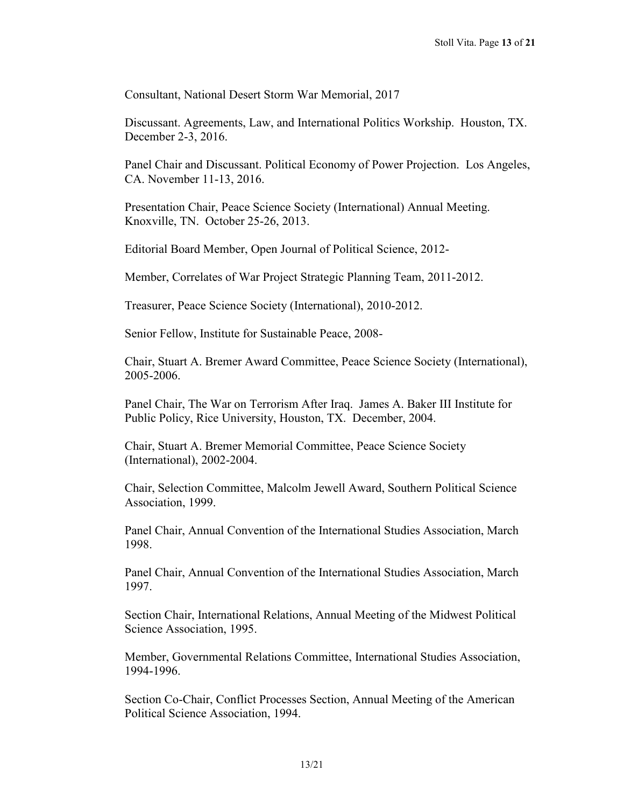Consultant, National Desert Storm War Memorial, 2017

Discussant. Agreements, Law, and International Politics Workship. Houston, TX. December 2-3, 2016.

Panel Chair and Discussant. Political Economy of Power Projection. Los Angeles, CA. November 11-13, 2016.

Presentation Chair, Peace Science Society (International) Annual Meeting. Knoxville, TN. October 25-26, 2013.

Editorial Board Member, Open Journal of Political Science, 2012-

Member, Correlates of War Project Strategic Planning Team, 2011-2012.

Treasurer, Peace Science Society (International), 2010-2012.

Senior Fellow, Institute for Sustainable Peace, 2008-

Chair, Stuart A. Bremer Award Committee, Peace Science Society (International), 2005-2006.

Panel Chair, The War on Terrorism After Iraq. James A. Baker III Institute for Public Policy, Rice University, Houston, TX. December, 2004.

Chair, Stuart A. Bremer Memorial Committee, Peace Science Society (International), 2002-2004.

Chair, Selection Committee, Malcolm Jewell Award, Southern Political Science Association, 1999.

Panel Chair, Annual Convention of the International Studies Association, March 1998.

Panel Chair, Annual Convention of the International Studies Association, March 1997.

Section Chair, International Relations, Annual Meeting of the Midwest Political Science Association, 1995.

Member, Governmental Relations Committee, International Studies Association, 1994-1996.

Section Co-Chair, Conflict Processes Section, Annual Meeting of the American Political Science Association, 1994.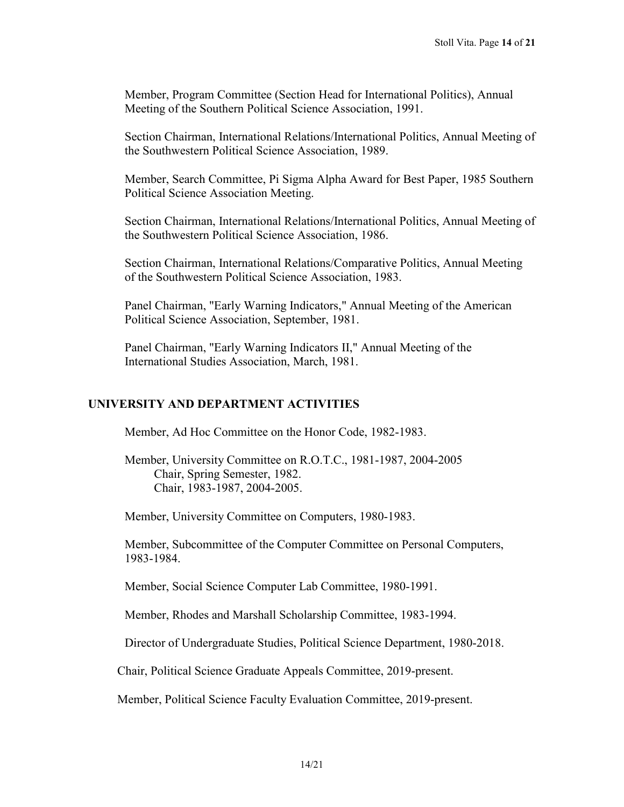Member, Program Committee (Section Head for International Politics), Annual Meeting of the Southern Political Science Association, 1991.

Section Chairman, International Relations/International Politics, Annual Meeting of the Southwestern Political Science Association, 1989.

Member, Search Committee, Pi Sigma Alpha Award for Best Paper, 1985 Southern Political Science Association Meeting.

Section Chairman, International Relations/International Politics, Annual Meeting of the Southwestern Political Science Association, 1986.

Section Chairman, International Relations/Comparative Politics, Annual Meeting of the Southwestern Political Science Association, 1983.

Panel Chairman, "Early Warning Indicators," Annual Meeting of the American Political Science Association, September, 1981.

Panel Chairman, "Early Warning Indicators II," Annual Meeting of the International Studies Association, March, 1981.

## **UNIVERSITY AND DEPARTMENT ACTIVITIES**

Member, Ad Hoc Committee on the Honor Code, 1982-1983.

Member, University Committee on R.O.T.C., 1981-1987, 2004-2005 Chair, Spring Semester, 1982. Chair, 1983-1987, 2004-2005.

Member, University Committee on Computers, 1980-1983.

Member, Subcommittee of the Computer Committee on Personal Computers, 1983-1984.

Member, Social Science Computer Lab Committee, 1980-1991.

Member, Rhodes and Marshall Scholarship Committee, 1983-1994.

Director of Undergraduate Studies, Political Science Department, 1980-2018.

Chair, Political Science Graduate Appeals Committee, 2019-present.

Member, Political Science Faculty Evaluation Committee, 2019-present.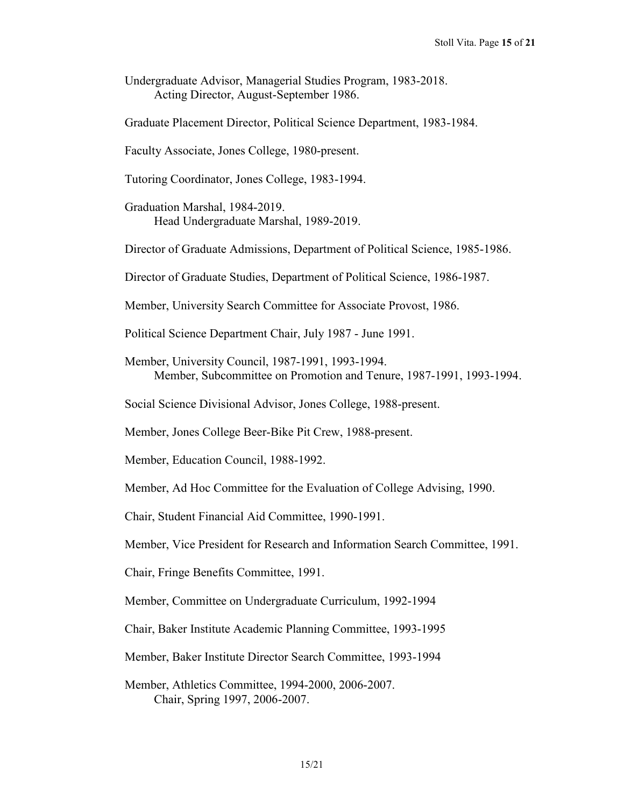- Undergraduate Advisor, Managerial Studies Program, 1983-2018. Acting Director, August-September 1986.
- Graduate Placement Director, Political Science Department, 1983-1984.

Faculty Associate, Jones College, 1980-present.

- Tutoring Coordinator, Jones College, 1983-1994.
- Graduation Marshal, 1984-2019. Head Undergraduate Marshal, 1989-2019.
- Director of Graduate Admissions, Department of Political Science, 1985-1986.
- Director of Graduate Studies, Department of Political Science, 1986-1987.
- Member, University Search Committee for Associate Provost, 1986.
- Political Science Department Chair, July 1987 June 1991.
- Member, University Council, 1987-1991, 1993-1994. Member, Subcommittee on Promotion and Tenure, 1987-1991, 1993-1994.
- Social Science Divisional Advisor, Jones College, 1988-present.
- Member, Jones College Beer-Bike Pit Crew, 1988-present.
- Member, Education Council, 1988-1992.
- Member, Ad Hoc Committee for the Evaluation of College Advising, 1990.
- Chair, Student Financial Aid Committee, 1990-1991.
- Member, Vice President for Research and Information Search Committee, 1991.
- Chair, Fringe Benefits Committee, 1991.
- Member, Committee on Undergraduate Curriculum, 1992-1994
- Chair, Baker Institute Academic Planning Committee, 1993-1995
- Member, Baker Institute Director Search Committee, 1993-1994
- Member, Athletics Committee, 1994-2000, 2006-2007. Chair, Spring 1997, 2006-2007.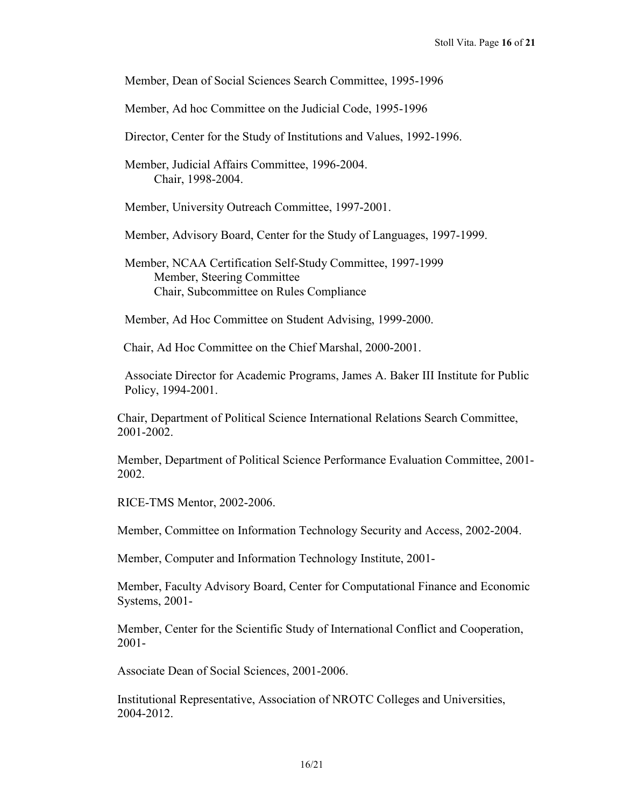Member, Dean of Social Sciences Search Committee, 1995-1996

Member, Ad hoc Committee on the Judicial Code, 1995-1996

Director, Center for the Study of Institutions and Values, 1992-1996.

Member, Judicial Affairs Committee, 1996-2004. Chair, 1998-2004.

Member, University Outreach Committee, 1997-2001.

Member, Advisory Board, Center for the Study of Languages, 1997-1999.

Member, NCAA Certification Self-Study Committee, 1997-1999 **Member, Steering Committee** Chair, Subcommittee on Rules Compliance

Member, Ad Hoc Committee on Student Advising, 1999-2000.

Chair, Ad Hoc Committee on the Chief Marshal, 2000-2001.

Associate Director for Academic Programs, James A. Baker III Institute for Public Policy, 1994-2001.

Chair, Department of Political Science International Relations Search Committee, 2001-2002.

Member, Department of Political Science Performance Evaluation Committee, 2001- 2002.

RICE-TMS Mentor, 2002-2006.

Member, Committee on Information Technology Security and Access, 2002-2004.

Member, Computer and Information Technology Institute, 2001-

Member, Faculty Advisory Board, Center for Computational Finance and Economic Systems, 2001-

Member, Center for the Scientific Study of International Conflict and Cooperation, 2001-

Associate Dean of Social Sciences, 2001-2006.

Institutional Representative, Association of NROTC Colleges and Universities, 2004-2012.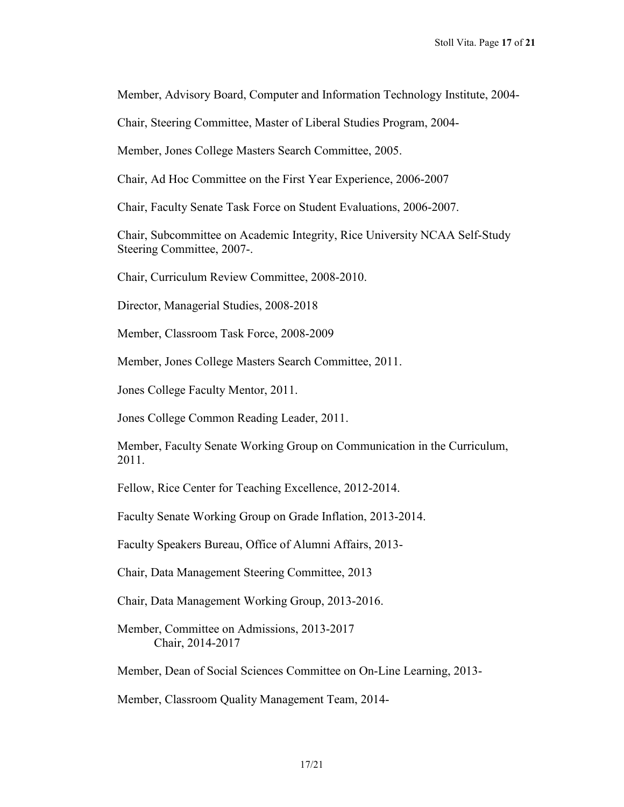Member, Advisory Board, Computer and Information Technology Institute, 2004-

Chair, Steering Committee, Master of Liberal Studies Program, 2004-

Member, Jones College Masters Search Committee, 2005.

Chair, Ad Hoc Committee on the First Year Experience, 2006-2007

Chair, Faculty Senate Task Force on Student Evaluations, 2006-2007.

Chair, Subcommittee on Academic Integrity, Rice University NCAA Self-Study Steering Committee, 2007-.

Chair, Curriculum Review Committee, 2008-2010.

Director, Managerial Studies, 2008-2018

Member, Classroom Task Force, 2008-2009

Member, Jones College Masters Search Committee, 2011.

Jones College Faculty Mentor, 2011.

Jones College Common Reading Leader, 2011.

Member, Faculty Senate Working Group on Communication in the Curriculum, 2011.

Fellow, Rice Center for Teaching Excellence, 2012-2014.

Faculty Senate Working Group on Grade Inflation, 2013-2014.

Faculty Speakers Bureau, Office of Alumni Affairs, 2013-

Chair, Data Management Steering Committee, 2013

Chair, Data Management Working Group, 2013-2016.

Member, Committee on Admissions, 2013-2017 Chair, 2014-2017

Member, Dean of Social Sciences Committee on On-Line Learning, 2013-

Member, Classroom Quality Management Team, 2014-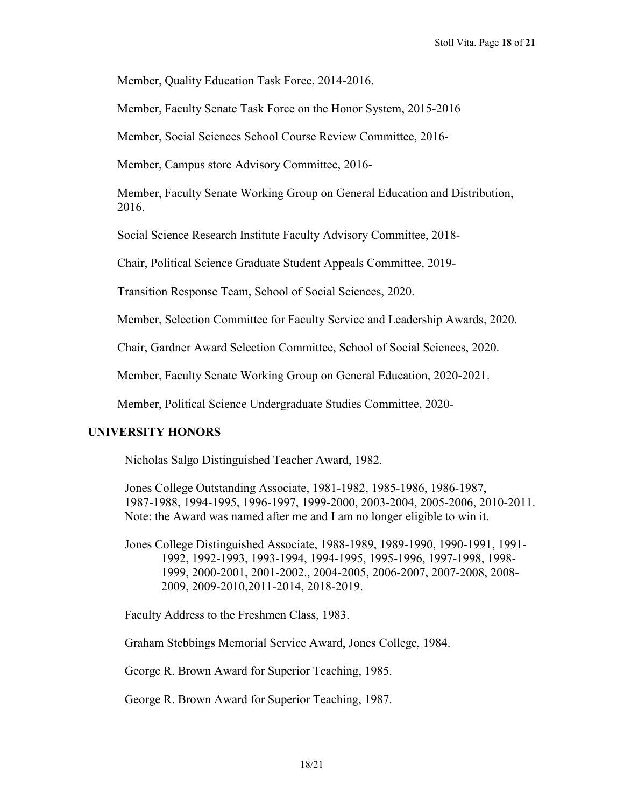Member, Quality Education Task Force, 2014-2016.

Member, Faculty Senate Task Force on the Honor System, 2015-2016

Member, Social Sciences School Course Review Committee, 2016-

Member, Campus store Advisory Committee, 2016-

Member, Faculty Senate Working Group on General Education and Distribution, 2016.

Social Science Research Institute Faculty Advisory Committee, 2018-

Chair, Political Science Graduate Student Appeals Committee, 2019-

Transition Response Team, School of Social Sciences, 2020.

Member, Selection Committee for Faculty Service and Leadership Awards, 2020.

Chair, Gardner Award Selection Committee, School of Social Sciences, 2020.

Member, Faculty Senate Working Group on General Education, 2020-2021.

Member, Political Science Undergraduate Studies Committee, 2020-

## **UNIVERSITY HONORS**

Nicholas Salgo Distinguished Teacher Award, 1982.

Jones College Outstanding Associate, 1981-1982, 1985-1986, 1986-1987, 1987-1988, 1994-1995, 1996-1997, 1999-2000, 2003-2004, 2005-2006, 2010-2011. Note: the Award was named after me and I am no longer eligible to win it.

Jones College Distinguished Associate, 1988-1989, 1989-1990, 1990-1991, 1991- 1992, 1992-1993, 1993-1994, 1994-1995, 1995-1996, 1997-1998, 1998- 1999, 2000-2001, 2001-2002., 2004-2005, 2006-2007, 2007-2008, 2008- 2009, 2009-2010,2011-2014, 2018-2019.

Faculty Address to the Freshmen Class, 1983.

Graham Stebbings Memorial Service Award, Jones College, 1984.

George R. Brown Award for Superior Teaching, 1985.

George R. Brown Award for Superior Teaching, 1987.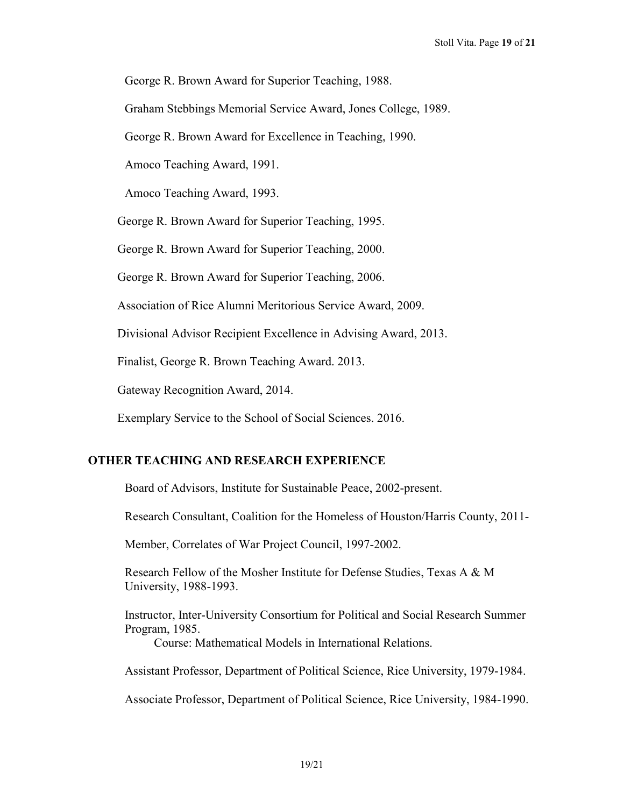George R. Brown Award for Superior Teaching, 1988.

Graham Stebbings Memorial Service Award, Jones College, 1989.

George R. Brown Award for Excellence in Teaching, 1990.

Amoco Teaching Award, 1991.

Amoco Teaching Award, 1993.

George R. Brown Award for Superior Teaching, 1995.

George R. Brown Award for Superior Teaching, 2000.

George R. Brown Award for Superior Teaching, 2006.

Association of Rice Alumni Meritorious Service Award, 2009.

Divisional Advisor Recipient Excellence in Advising Award, 2013.

Finalist, George R. Brown Teaching Award. 2013.

Gateway Recognition Award, 2014.

Exemplary Service to the School of Social Sciences. 2016.

## **OTHER TEACHING AND RESEARCH EXPERIENCE**

Board of Advisors, Institute for Sustainable Peace, 2002-present.

Research Consultant, Coalition for the Homeless of Houston/Harris County, 2011-

Member, Correlates of War Project Council, 1997-2002.

Research Fellow of the Mosher Institute for Defense Studies, Texas A & M University, 1988-1993.

Instructor, Inter-University Consortium for Political and Social Research Summer Program, 1985.

Course: Mathematical Models in International Relations.

Assistant Professor, Department of Political Science, Rice University, 1979-1984.

Associate Professor, Department of Political Science, Rice University, 1984-1990.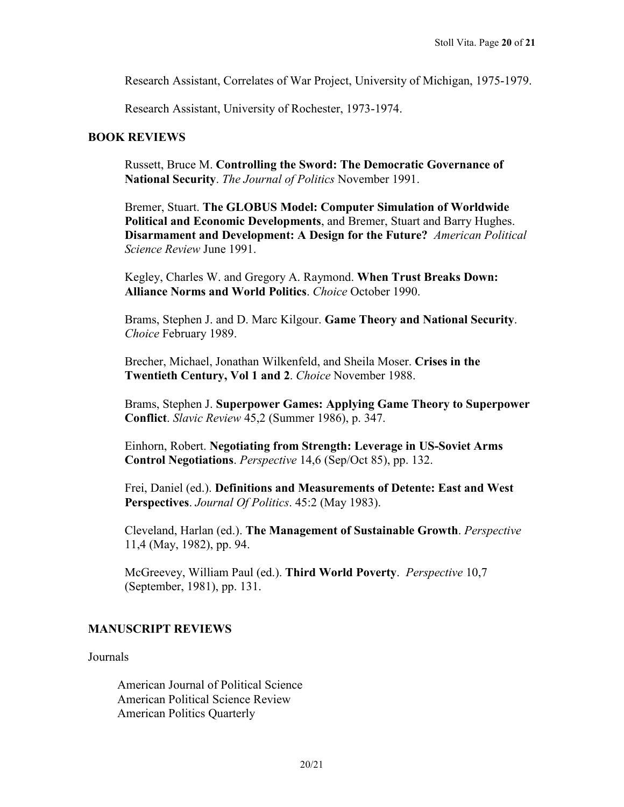Research Assistant, Correlates of War Project, University of Michigan, 1975-1979.

Research Assistant, University of Rochester, 1973-1974.

#### **BOOK REVIEWS**

Russett, Bruce M. **Controlling the Sword: The Democratic Governance of National Security**. *The Journal of Politics* November 1991.

Bremer, Stuart. **The GLOBUS Model: Computer Simulation of Worldwide Political and Economic Developments**, and Bremer, Stuart and Barry Hughes. **Disarmament and Development: A Design for the Future?** *American Political Science Review* June 1991.

Kegley, Charles W. and Gregory A. Raymond. **When Trust Breaks Down: Alliance Norms and World Politics**. *Choice* October 1990.

Brams, Stephen J. and D. Marc Kilgour. **Game Theory and National Security**. *Choice* February 1989.

Brecher, Michael, Jonathan Wilkenfeld, and Sheila Moser. **Crises in the Twentieth Century, Vol 1 and 2**. *Choice* November 1988.

Brams, Stephen J. **Superpower Games: Applying Game Theory to Superpower Conflict**. *Slavic Review* 45,2 (Summer 1986), p. 347.

Einhorn, Robert. **Negotiating from Strength: Leverage in US-Soviet Arms Control Negotiations**. *Perspective* 14,6 (Sep/Oct 85), pp. 132.

Frei, Daniel (ed.). **Definitions and Measurements of Detente: East and West Perspectives**. *Journal Of Politics*. 45:2 (May 1983).

Cleveland, Harlan (ed.). **The Management of Sustainable Growth**. *Perspective* 11,4 (May, 1982), pp. 94.

McGreevey, William Paul (ed.). **Third World Poverty**. *Perspective* 10,7 (September, 1981), pp. 131.

## **MANUSCRIPT REVIEWS**

Journals

American Journal of Political Science American Political Science Review American Politics Quarterly